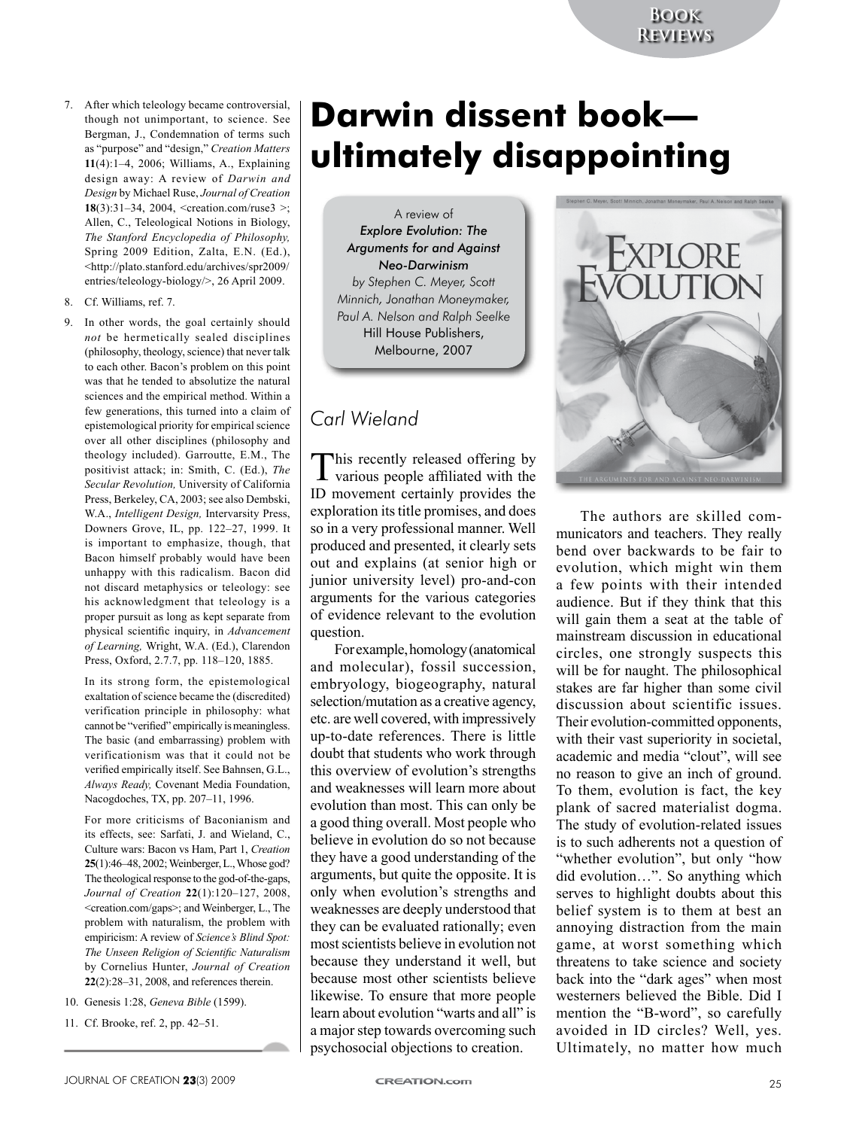- 7. After which teleology became controversial, though not unimportant, to science. See Bergman, J., Condemnation of terms such as "purpose" and "design," *Creation Matters*  **11**(4):1–4, 2006; Williams, A., Explaining design away: A review of *Darwin and Design* by Michael Ruse, *Journal of Creation*  **18**(3):31–34, 2004, <creation.com/ruse3 >: Allen, C., Teleological Notions in Biology, *The Stanford Encyclopedia of Philosophy,*  Spring 2009 Edition, Zalta, E.N. (Ed.), <http://plato.stanford.edu/archives/spr2009/ entries/teleology-biology/>, 26 April 2009.
- 8. Cf. Williams, ref. 7.
- 9. In other words, the goal certainly should *not* be hermetically sealed disciplines (philosophy, theology, science) that never talk to each other. Bacon's problem on this point was that he tended to absolutize the natural sciences and the empirical method. Within a few generations, this turned into a claim of epistemological priority for empirical science over all other disciplines (philosophy and theology included). Garroutte, E.M., The positivist attack; in: Smith, C. (Ed.), *The Secular Revolution,* University of California Press, Berkeley, CA, 2003; see also Dembski, W.A., *Intelligent Design,* Intervarsity Press, Downers Grove, IL, pp. 122–27, 1999. It is important to emphasize, though, that Bacon himself probably would have been unhappy with this radicalism. Bacon did not discard metaphysics or teleology: see his acknowledgment that teleology is a proper pursuit as long as kept separate from physical scientific inquiry, in *Advancement of Learning,* Wright, W.A. (Ed.), Clarendon Press, Oxford, 2.7.7, pp. 118–120, 1885.

In its strong form, the epistemological exaltation of science became the (discredited) verification principle in philosophy: what cannot be "verified" empirically is meaningless. The basic (and embarrassing) problem with verificationism was that it could not be verified empirically itself. See Bahnsen, G.L., *Always Ready,* Covenant Media Foundation, Nacogdoches, TX, pp. 207–11, 1996.

For more criticisms of Baconianism and its effects, see: Sarfati, J. and Wieland, C., Culture wars: Bacon vs Ham, Part 1, *Creation*  **25**(1):46–48, 2002; Weinberger, L., Whose god? The theological response to the god-of-the-gaps, *Journal of Creation* **22**(1):120–127, 2008, <creation.com/gaps>; and Weinberger, L., The problem with naturalism, the problem with empiricism: A review of *Science's Blind Spot: The Unseen Religion of Scientific Naturalism*  by Cornelius Hunter, *Journal of Creation*  **22**(2):28–31, 2008, and references therein.

- 10. Genesis 1:28, *Geneva Bible* (1599).
- 11. Cf. Brooke, ref. 2, pp. 42–51.

## **Darwin dissent book ultimately disappointing**

A review of *Explore Evolution: The Arguments for and Against Neo-Darwinism by Stephen C. Meyer, Scott Minnich, Jonathan Moneymaker, Paul A. Nelson and Ralph Seelke* Hill House Publishers, Melbourne, 2007

## *Carl Wieland*

This recently released offering by various people affiliated with the ID movement certainly provides the exploration its title promises, and does so in a very professional manner. Well produced and presented, it clearly sets out and explains (at senior high or junior university level) pro-and-con arguments for the various categories of evidence relevant to the evolution question.

For example, homology (anatomical and molecular), fossil succession, embryology, biogeography, natural selection/mutation as a creative agency, etc. are well covered, with impressively up-to-date references. There is little doubt that students who work through this overview of evolution's strengths and weaknesses will learn more about evolution than most. This can only be a good thing overall. Most people who believe in evolution do so not because they have a good understanding of the arguments, but quite the opposite. It is only when evolution's strengths and weaknesses are deeply understood that they can be evaluated rationally; even most scientists believe in evolution not because they understand it well, but because most other scientists believe likewise. To ensure that more people learn about evolution "warts and all" is a major step towards overcoming such psychosocial objections to creation.



The authors are skilled communicators and teachers. They really bend over backwards to be fair to evolution, which might win them a few points with their intended audience. But if they think that this will gain them a seat at the table of mainstream discussion in educational circles, one strongly suspects this will be for naught. The philosophical stakes are far higher than some civil discussion about scientific issues. Their evolution-committed opponents, with their vast superiority in societal, academic and media "clout", will see no reason to give an inch of ground. To them, evolution is fact, the key plank of sacred materialist dogma. The study of evolution-related issues is to such adherents not a question of "whether evolution", but only "how did evolution…". So anything which serves to highlight doubts about this belief system is to them at best an annoying distraction from the main game, at worst something which threatens to take science and society back into the "dark ages" when most westerners believed the Bible. Did I mention the "B-word", so carefully avoided in ID circles? Well, yes. Ultimately, no matter how much